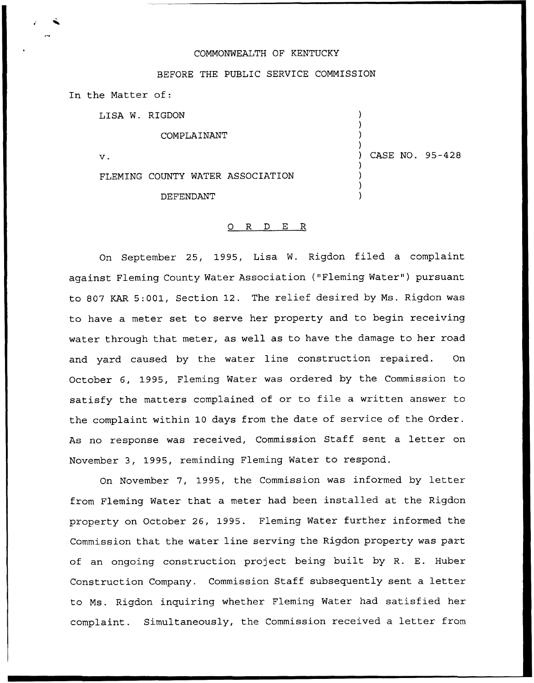### COMMONWEALTH OF KENTUCKY

### BEFORE THE PUBLIC SERVICE COMMISSION

In the Matter of:

LISA W. RIGDON

COMPLAINANT

 $\mathbf v$ .

FLEMING COUNTY WATER ASSOCIATION DEFENDANT

) CASE NO. 95-428

) ) ) )

) ) ) )

### 0 R <sup>D</sup> E R

On September 25, 1995, Lisa W. Rigdon filed a complaint against Fleming County Water Association ("Fleming Water" ) pursuant to 807 KAR 5:001, Section 12. The relief desired by Ms. Rigdon was to have a meter set to serve her property and to begin receiving water through that meter, as well as to have the damage to her road and yard caused by the water line construction repaired. On October 6, 1995, Fleming Water was ordered by the Commission to satisfy the matters complained of or to file <sup>a</sup> written answer to the complaint within 10 days from the date of service of the Order. As no response was received, Commission Staff sent a letter on November 3, 1995, reminding Fleming Water to respond.

On November 7, 1995, the Commission was informed by letter from Fleming Water that a meter had been installed at the Rigdon property on October 26, 1995. Fleming Water further informed the Commission that the water line serving the Rigdon property was part of an ongoing construction project being built by R. E. Huber Construction Company. Commission Staff subsequently sent a letter to Ms. Rigdon inquiring whether Fleming Water had satisfied her complaint. Simultaneously, the Commission received a letter from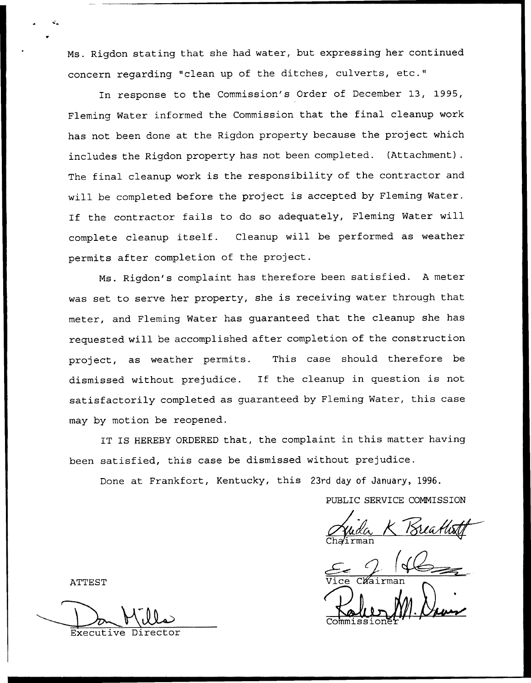Ms. Rigdon stating that she had water, but expressing her continued concern regarding "clean up of the ditches, culverts, etc."

In response to the Commission's Order of December 13, 1995, Fleming Water informed the Commission that the final cleanup work has not been done at the Rigdon property because the project which includes the Rigdon property has not been completed. {Attachment). The final cleanup work is the responsibility of the contractor and will be completed before the project is accepted by Fleming Water. If the contractor fails to do so adequately, Fleming Water will complete cleanup itself. Cleanup will be performed as weather permits after completion of the project.

Ms. Rigdon's complaint has therefore been satisfied. <sup>A</sup> meter was set to serve her property, she is receiving water through that meter, and Fleming Water has guaranteed that the cleanup she has requested will be accomplished after completion of the construction project, as weather permits. This case should therefore be dismissed without prejudice. If the cleanup in question is not satisfactorily completed as guaranteed by Fleming Water, this case may by motion be reopened.

IT IS HEREBY ORDERED that, the complaint in this matter having been satisfied, this case be dismissed without prejudice.

Done at Frankfort, Kentucky, this 23rd day of January, 1996.

PUBLIC SERVICE COMMISSION

<u> Breaths</u>

 $\frac{C}{\sqrt{\frac{1}{\text{yice}}}}$ Commissione<sup>®</sup>

ATTEST

Executive Director